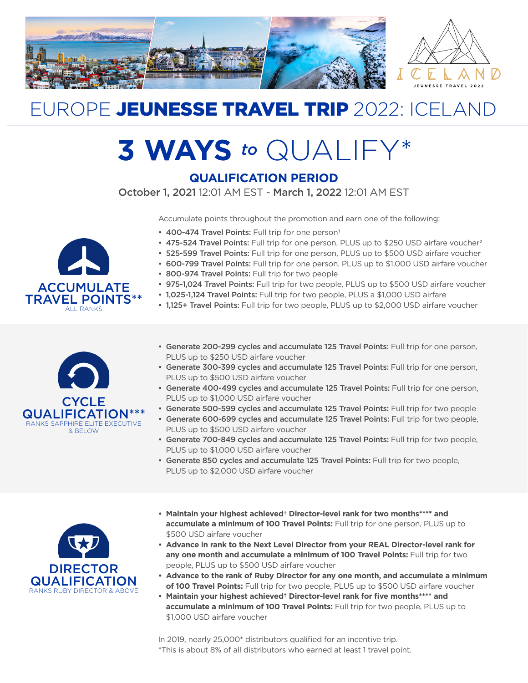

# EUROPE JEUNESSE TRAVEL TRIP 2022: ICELAND

# **3 WAYS** *to* QUALIFY\*

## **QUALIFICATION PERIOD**

October 1, 2021 12:01 AM EST - March 1, 2022 12:01 AM EST

Accumulate points throughout the promotion and earn one of the following:

- 400-474 Travel Points: Full trip for one person<sup>1</sup>
- 475-524 Travel Points: Full trip for one person, PLUS up to \$250 USD airfare voucher<sup>2</sup>
- 525-599 Travel Points: Full trip for one person, PLUS up to \$500 USD airfare voucher
- 600-799 Travel Points: Full trip for one person, PLUS up to \$1,000 USD airfare voucher
- 800-974 Travel Points: Full trip for two people
- 975-1,024 Travel Points: Full trip for two people, PLUS up to \$500 USD airfare voucher
- 1,025-1,124 Travel Points: Full trip for two people, PLUS a \$1,000 USD airfare
- 1.125+ Travel Points: Full trip for two people, PLUS up to \$2,000 USD airfare voucher



ACCUMULATE TRAVEL POINTS\*\* ALL RANKS

- Generate 200-299 cycles and accumulate 125 Travel Points: Full trip for one person, PLUS up to \$250 USD airfare voucher
- Generate 300-399 cycles and accumulate 125 Travel Points: Full trip for one person, PLUS up to \$500 USD airfare voucher
- Generate 400-499 cycles and accumulate 125 Travel Points: Full trip for one person, PLUS up to \$1,000 USD airfare voucher
- Generate 500-599 cycles and accumulate 125 Travel Points: Full trip for two people
- Generate 600-699 cycles and accumulate 125 Travel Points: Full trip for two people, PLUS up to \$500 USD airfare voucher
- Generate 700-849 cycles and accumulate 125 Travel Points: Full trip for two people, PLUS up to \$1,000 USD airfare voucher
- Generate 850 cycles and accumulate 125 Travel Points: Full trip for two people, PLUS up to \$2,000 USD airfare voucher



- **• Maintain your highest achieved† Director-level rank for two months\*\*\*\* and accumulate a minimum of 100 Travel Points:** Full trip for one person, PLUS up to \$500 USD airfare voucher
- **• Advance in rank to the Next Level Director from your REAL Director-level rank for any one month and accumulate a minimum of 100 Travel Points:** Full trip for two people, PLUS up to \$500 USD airfare voucher
- **• Advance to the rank of Ruby Director for any one month, and accumulate a minimum of 100 Travel Points:** Full trip for two people, PLUS up to \$500 USD airfare voucher
- **• Maintain your highest achieved† Director-level rank for five months\*\*\*\* and accumulate a minimum of 100 Travel Points:** Full trip for two people, PLUS up to \$1,000 USD airfare voucher

In 2019, nearly 25,000\* distributors qualified for an incentive trip. \*This is about 8% of all distributors who earned at least 1 travel point.